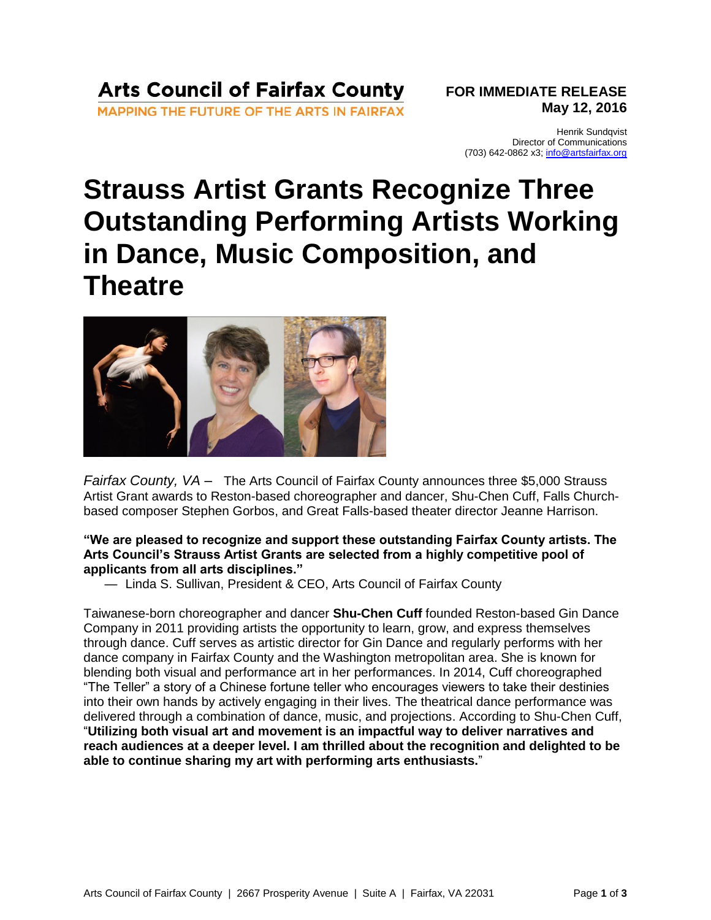## **Arts Council of Fairfax County**

MAPPING THE FUTURE OF THE ARTS IN FAIRFAX

**FOR IMMEDIATE RELEASE May 12, 2016**

Henrik Sundqvist Director of Communications (703) 642-0862 x3; [info@artsfairfax.org](mailto:info@artsfairfax.org)

## **Strauss Artist Grants Recognize Three Outstanding Performing Artists Working in Dance, Music Composition, and Theatre**



*Fairfax County, VA –* The Arts Council of Fairfax County announces three \$5,000 Strauss Artist Grant awards to Reston-based choreographer and dancer, Shu-Chen Cuff, Falls Churchbased composer Stephen Gorbos, and Great Falls-based theater director Jeanne Harrison.

### **"We are pleased to recognize and support these outstanding Fairfax County artists. The Arts Council's Strauss Artist Grants are selected from a highly competitive pool of applicants from all arts disciplines."**

— Linda S. Sullivan, President & CEO, Arts Council of Fairfax County

Taiwanese-born choreographer and dancer **Shu-Chen Cuff** founded Reston-based Gin Dance Company in 2011 providing artists the opportunity to learn, grow, and express themselves through dance. Cuff serves as artistic director for Gin Dance and regularly performs with her dance company in Fairfax County and the Washington metropolitan area. She is known for blending both visual and performance art in her performances. In 2014, Cuff choreographed "The Teller" a story of a Chinese fortune teller who encourages viewers to take their destinies into their own hands by actively engaging in their lives. The theatrical dance performance was delivered through a combination of dance, music, and projections. According to Shu-Chen Cuff, "**Utilizing both visual art and movement is an impactful way to deliver narratives and reach audiences at a deeper level. I am thrilled about the recognition and delighted to be able to continue sharing my art with performing arts enthusiasts.**"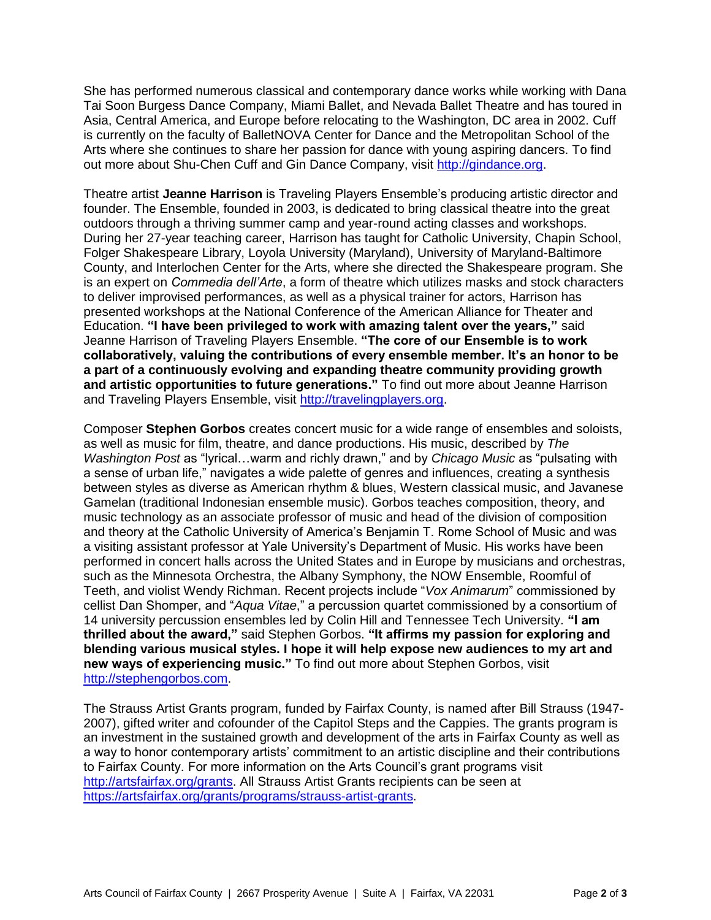She has performed numerous classical and contemporary dance works while working with Dana Tai Soon Burgess Dance Company, Miami Ballet, and Nevada Ballet Theatre and has toured in Asia, Central America, and Europe before relocating to the Washington, DC area in 2002. Cuff is currently on the faculty of BalletNOVA Center for Dance and the Metropolitan School of the Arts where she continues to share her passion for dance with young aspiring dancers. To find out more about Shu-Chen Cuff and Gin Dance Company, visit [http://gindance.org.](http://gindance.org/)

Theatre artist **Jeanne Harrison** is Traveling Players Ensemble's producing artistic director and founder. The Ensemble, founded in 2003, is dedicated to bring classical theatre into the great outdoors through a thriving summer camp and year-round acting classes and workshops. During her 27-year teaching career, Harrison has taught for Catholic University, Chapin School, Folger Shakespeare Library, Loyola University (Maryland), University of Maryland-Baltimore County, and Interlochen Center for the Arts, where she directed the Shakespeare program. She is an expert on *Commedia dell'Arte*, a form of theatre which utilizes masks and stock characters to deliver improvised performances, as well as a physical trainer for actors, Harrison has presented workshops at the National Conference of the American Alliance for Theater and Education. **"I have been privileged to work with amazing talent over the years,"** said Jeanne Harrison of Traveling Players Ensemble. **"The core of our Ensemble is to work collaboratively, valuing the contributions of every ensemble member. It's an honor to be a part of a continuously evolving and expanding theatre community providing growth and artistic opportunities to future generations."** To find out more about Jeanne Harrison and Traveling Players Ensemble, visit [http://travelingplayers.org.](http://travelingplayers.org/)

Composer **Stephen Gorbos** creates concert music for a wide range of ensembles and soloists, as well as music for film, theatre, and dance productions. His music, described by *The Washington Post* as "lyrical…warm and richly drawn," and by *Chicago Music* as "pulsating with a sense of urban life," navigates a wide palette of genres and influences, creating a synthesis between styles as diverse as American rhythm & blues, Western classical music, and Javanese Gamelan (traditional Indonesian ensemble music). Gorbos teaches composition, theory, and music technology as an associate professor of music and head of the division of composition and theory at the Catholic University of America's Benjamin T. Rome School of Music and was a visiting assistant professor at Yale University's Department of Music. His works have been performed in concert halls across the United States and in Europe by musicians and orchestras, such as the Minnesota Orchestra, the Albany Symphony, the NOW Ensemble, Roomful of Teeth, and violist Wendy Richman. Recent projects include "*Vox Animarum*" commissioned by cellist Dan Shomper, and "*Aqua Vitae*," a percussion quartet commissioned by a consortium of 14 university percussion ensembles led by Colin Hill and Tennessee Tech University. **"I am thrilled about the award,"** said Stephen Gorbos. **"It affirms my passion for exploring and blending various musical styles. I hope it will help expose new audiences to my art and new ways of experiencing music."** To find out more about Stephen Gorbos, visit [http://stephengorbos.com.](http://stephengorbos.com/)

The Strauss Artist Grants program, funded by Fairfax County, is named after Bill Strauss (1947- 2007), gifted writer and cofounder of the Capitol Steps and the Cappies. The grants program is an investment in the sustained growth and development of the arts in Fairfax County as well as a way to honor contemporary artists' commitment to an artistic discipline and their contributions to Fairfax County. For more information on the Arts Council's grant programs visit [http://artsfairfax.org/grants.](http://artsfairfax.org/grants) All Strauss Artist Grants recipients can be seen at [https://artsfairfax.org/grants/programs/strauss-artist-grants.](https://artsfairfax.org/grants/programs/strauss-artist-grants)